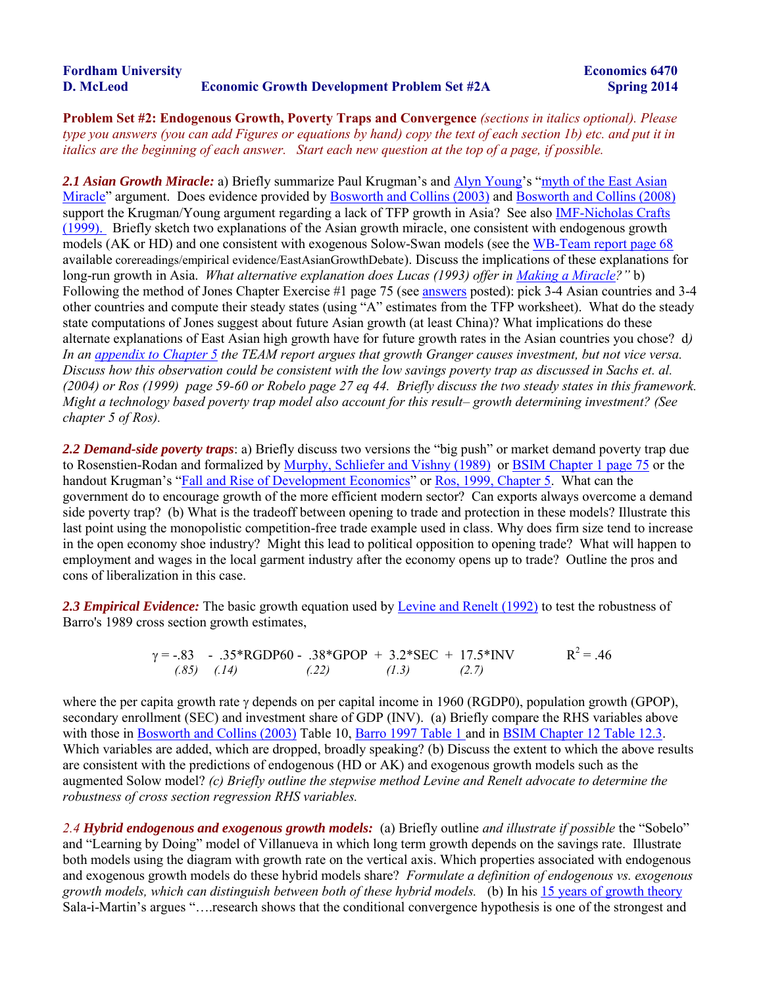| <b>Fordham University</b> |                                                    |
|---------------------------|----------------------------------------------------|
| D. McLeod                 | <b>Economic Growth Development Problem Set #2A</b> |

**Problem Set #2: Endogenous Growth, Poverty Traps and Convergence** *(sections in italics optional). Please type you answers (you can add Figures or equations by hand) copy the text of each section 1b) etc. and put it in italics are the beginning of each answer. Start each new question at the top of a page, if possible.* 

*2.1 Asian Growth Miracle:* a) Briefly summarize Paul Krugman's and [Alyn Young'](http://www.gdsnet.org/Young-1995-TyrannyofNumbersQJE.pdf)s ["myth of the East Asian](http://www.gdsnet.org/KrugmanAsiasMiracle.pdf)  [Miracle"](http://www.gdsnet.org/KrugmanAsiasMiracle.pdf) argument. Does evidence provided by [Bosworth and Collins \(2003\)](http://www.gdsnet.org/BosworthCollins2003.pdf) and [Bosworth and Collins \(2008\)](http://www.brookings.edu/~/media/Files/rc/papers/2007/0117china_bosworth/0117_china_bosworth.pdf) support the Krugman/Young argument regarding a lack of TFP growth in Asia? See also [IMF-Nicholas Crafts](http://www.imf.org/external/pubs/ft/staffp/1999/06-99/crafts.htm)  [\(1999\).](http://www.imf.org/external/pubs/ft/staffp/1999/06-99/crafts.htm) Briefly sketch two explanations of the Asian growth miracle, one consistent with endogenous growth models (AK or HD) and one consistent with exogenous Solow-Swan models (see th[e WB-Team report page 68](http://www.gdsnet.org/TEAMChapter1.pdf) available corereadings/empirical evidence/EastAsianGrowthDebate). Discuss the implications of these explanations for long-run growth in Asia. *What alternative explanation does Lucas (1993) offer in [Making a Miracle?](http://www.gdsnet.org/LucasMakingaMiracle.pdf)"* b) Following the method of Jones Chapter Exercise #1 page 75 (see [answers](http://www.gdsnet.org/JonesAnswerExcercise1page75.pdf) posted): pick 3-4 Asian countries and 3-4 other countries and compute their steady states (using "A" estimates from the TFP worksheet). What do the steady state computations of Jones suggest about future Asian growth (at least China)? What implications do these alternate explanations of East Asian high growth have for future growth rates in the Asian countries you chose? d*) In an [appendix to Chapter 5](http://www.gdsnet.org/classes/TEAMAppendix5_1.pdf) the TEAM report argues that growth Granger causes investment, but not vice versa. Discuss how this observation could be consistent with the low savings poverty trap as discussed in Sachs et. al. (2004) or Ros (1999) page 59-60 or Robelo page 27 eq 44. Briefly discuss the two steady states in this framework. Might a technology based poverty trap model also account for this result– growth determining investment? (See chapter 5 of Ros).* 

*2.2 Demand-side poverty traps*: a) Briefly discuss two versions the "big push" or market demand poverty trap due to Rosenstien-Rodan and formalized by [Murphy, Schliefer and Vishny \(1989\)](http://www.gdsnet.org/MurphySchleiferVishnyBigPush1989b.pdf) or [BSIM Chapter 1 page 75](http://www.gdsnet.org/BarroandSala-i-Martin2004Chapter1.pdf) or the handout Krugman's ["Fall and Rise of Development Economics"](http://web.mit.edu/krugman/www/dishpan.html) or [Ros, 1999, Chapter 5.](http://www.gdsnet.org/RosBookJune1999.pdf) What can the government do to encourage growth of the more efficient modern sector? Can exports always overcome a demand side poverty trap? (b) What is the tradeoff between opening to trade and protection in these models? Illustrate this last point using the monopolistic competition-free trade example used in class. Why does firm size tend to increase in the open economy shoe industry? Might this lead to political opposition to opening trade? What will happen to employment and wages in the local garment industry after the economy opens up to trade? Outline the pros and cons of liberalization in this case.

*2.3 Empirical Evidence:* The basic growth equation used by [Levine and Renelt \(1992\)](http://www.gdsnet.org/LevineandRenelt1992.pdf) to test the robustness of Barro's 1989 cross section growth estimates,

 $\gamma = -.83$  - .35\*RGDP60 - .38\*GPOP + 3.2\*SEC + 17.5\*INV R<sup>2</sup> = .46 *(.85) (.14) (.22) (1.3) (2.7)* 

where the per capita growth rate  $\gamma$  depends on per capital income in 1960 (RGDP0), population growth (GPOP), secondary enrollment (SEC) and investment share of GDP (INV). (a) Briefly compare the RHS variables above with those in [Bosworth and Collins \(2003\)](http://www.gdsnet.org/BosworthCollins2003.pdf) Table 10, [Barro 1997 Table 1 a](http://www.cid.harvard.edu/hiid/579.pdf)nd in [BSIM Chapter 12 Table 12.3.](http://www.gdsnet.org/B&S_chapter12_new.pdf) Which variables are added, which are dropped, broadly speaking? (b) Discuss the extent to which the above results are consistent with the predictions of endogenous (HD or AK) and exogenous growth models such as the augmented Solow model? *(c) Briefly outline the stepwise method Levine and Renelt advocate to determine the robustness of cross section regression RHS variables.* 

*2.4 Hybrid endogenous and exogenous growth models:* (a) Briefly outline *and illustrate if possible* the "Sobelo" and "Learning by Doing" model of Villanueva in which long term growth depends on the savings rate. Illustrate both models using the diagram with growth rate on the vertical axis. Which properties associated with endogenous and exogenous growth models do these hybrid models share? *Formulate a definition of endogenous vs. exogenous growth models, which can distinguish between both of these hybrid models.* (b) In his [15 years of growth theory](http://www.gdsnet.org/Sali-i-Martin-15yearsChileVolume.pdf)  Sala-i-Martin's argues "….research shows that the conditional convergence hypothesis is one of the strongest and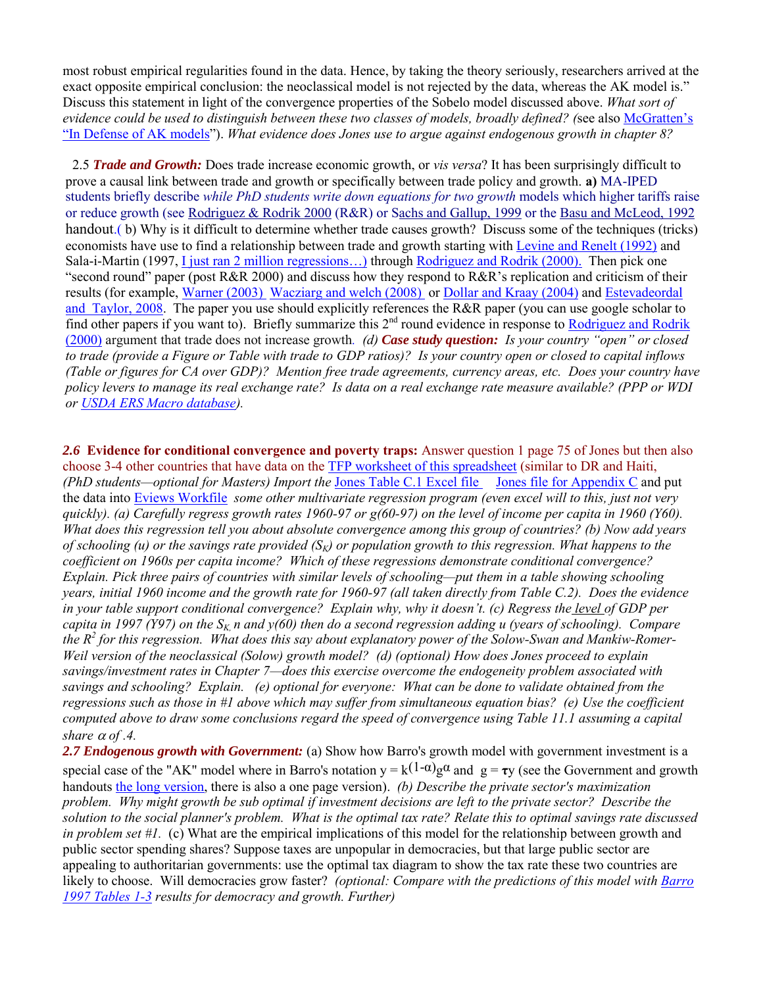most robust empirical regularities found in the data. Hence, by taking the theory seriously, researchers arrived at the exact opposite empirical conclusion: the neoclassical model is not rejected by the data, whereas the AK model is." Discuss this statement in light of the convergence properties of the Sobelo model discussed above. *What sort of evidence could be used to distinguish between these two classes of models, broadly defined? (*see also [McGratten's](http://www.gdsnet.org/McGrattenDefenseofAKModels.pdf)  ["In Defense of AK models"](http://www.gdsnet.org/McGrattenDefenseofAKModels.pdf)). *What evidence does Jones use to argue against endogenous growth in chapter 8?* 

2.5 *Trade and Growth:* Does trade increase economic growth, or *vis versa*? It has been surprisingly difficult to prove a causal link between trade and growth or specifically between trade policy and growth. **a)** MA-IPED students briefly describe *while PhD students write down equations for two growth* models which higher tariffs raise or reduce growth (see [Rodriguez & Rodrik 2000](http://www.gdsnet.org/Rodriguez&RodrikSkepticsView.pdf) (R&R) or [Sachs and Gallup, 1999](http://www.fordham.edu/economics/mcleod/SachsGallupGeographyGrowth.pdf) or the [Basu and McLeod, 1992](http://www.gdsnet.org/ECGA6470_GrowthOpenEconomies.pdf) handout.( b) Why is it difficult to determine whether trade causes growth? Discuss some of the techniques (tricks) economists have use to find a relationship between trade and growth starting with [Levine and Renelt \(1992\)](http://www.fordham.edu/economics/mcleod/LevineandRenelt1992.pdf) and Sala-i-Martin (1997[, I just ran 2 million regressions…\)](http://www.gdsnet.org/Sali-i-Martin-TwoMillionAER1997.pdf) through [Rodriguez and Rodrik \(2000\).](http://www.gdsnet.org/Rodriguez&RodrikSkepticsView.pdf) Then pick one "second round" paper (post  $R\&R 2000$ ) and discuss how they respond to  $R\&R$ 's replication and criticism of their results (for example, [Warner \(2003\)](http://www.cgdev.org/content/publications/detail/2757/) [Wacziarg and welch \(2008\)](http://www.anderson.ucla.edu/faculty_pages/romain.wacziarg/downloads/integration.pdf) or [Dollar and Kraay \(2004\)](http://www.gdsnet.org/DollarKraayTradeGrowthPovertyEJ2004.pdf) an[d Estevadeordal](http://idbdocs.iadb.org/wsdocs/getdocument.aspx?docnum=1802678)  [and Taylor, 2008.](http://idbdocs.iadb.org/wsdocs/getdocument.aspx?docnum=1802678) The paper you use should explicitly references the R&R paper (you can use google scholar to find other papers if you want to). Briefly summarize this  $2<sup>nd</sup>$  round evidence in response to Rodriguez and Rodrik [\(2000\)](http://www.gdsnet.org/Rodriguez&RodrikSkepticsView.pdf) argument that trade does not increase growth*. (d) Case study question: Is your country "open" or closed to trade (provide a Figure or Table with trade to GDP ratios)? Is your country open or closed to capital inflows (Table or figures for CA over GDP)? Mention free trade agreements, currency areas, etc. Does your country have policy levers to manage its real exchange rate? Is data on a real exchange rate measure available? (PPP or WDI or [USDA ERS Macro database\)](http://www.ers.usda.gov/Data/Macroeconomics/).*

*2.6* **Evidence for conditional convergence and poverty traps:** Answer question 1 page 75 of Jones but then also choose 3-4 other countries that have data on the [TFP worksheet of this spreadsheet](http://www.gdsnet.org/JonesChapter3_Exc1_p75b1Haiti.xls) (similar to DR and Haiti, *(PhD students—optional for Masters) Import the* [Jones Table C.1 Excel file](http://www.gdsnet.org/JonesAppCdata.xls) [Jones file for Appendix C](http://emlab.berkeley.edu/users/chad/TableC2.asc) and put the data into [Eviews Workfile](http://www.gdsnet.org/classes/Jones_AppC.wf1) *some other multivariate regression program (even excel will to this, just not very quickly). (a) Carefully regress growth rates 1960-97 or g(60-97) on the level of income per capita in 1960 (Y60). What does this regression tell you about absolute convergence among this group of countries? (b) Now add years of schooling (u) or the savings rate provided (SK) or population growth to this regression. What happens to the coefficient on 1960s per capita income? Which of these regressions demonstrate conditional convergence? Explain. Pick three pairs of countries with similar levels of schooling—put them in a table showing schooling years, initial 1960 income and the growth rate for 1960-97 (all taken directly from Table C.2). Does the evidence in your table support conditional convergence? Explain why, why it doesn't. (c) Regress the level of GDP per capita in 1997 (Y97) on the SK, n and y(60) then do a second regression adding u (years of schooling). Compare the R<sup>2</sup> for this regression. What does this say about explanatory power of the Solow-Swan and Mankiw-Romer-Weil version of the neoclassical (Solow) growth model? (d) (optional) How does Jones proceed to explain savings/investment rates in Chapter 7—does this exercise overcome the endogeneity problem associated with savings and schooling? Explain. (e) optional for everyone: What can be done to validate obtained from the regressions such as those in #1 above which may suffer from simultaneous equation bias? (e) Use the coefficient computed above to draw some conclusions regard the speed of convergence using Table 11.1 assuming a capital share*  $\alpha$  *of .4.* 

2.7 *Endogenous growth with Government:* (a) Show how Barro's growth model with government investment is a special case of the "AK" model where in Barro's notation  $y = k(1-\alpha)g\alpha$  and  $g = \tau y$  (see the Government and growth handouts [the long version,](http://class.povertylectures.com/BarroGovGrowthHandoutSpring2012.pdf) there is also a one page version). *(b) Describe the private sector's maximization problem. Why might growth be sub optimal if investment decisions are left to the private sector? Describe the solution to the social planner's problem. What is the optimal tax rate? Relate this to optimal savings rate discussed in problem set #1.* (c) What are the empirical implications of this model for the relationship between growth and public sector spending shares? Suppose taxes are unpopular in democracies, but that large public sector are appealing to authoritarian governments: use the optimal tax diagram to show the tax rate these two countries are likely to choose. Will democracies grow faster? *(optional: Compare with the predictions of this model with [Barro](http://www.cid.harvard.edu/hiid/579.pdf)  [1997 Tables 1-3](http://www.cid.harvard.edu/hiid/579.pdf) results for democracy and growth. Further)*